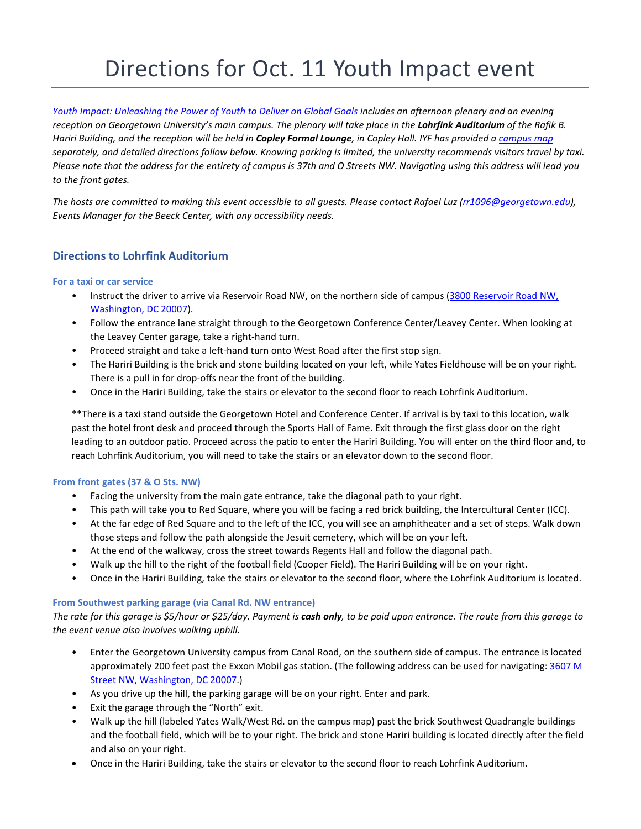# Directions for Oct. 11 Youth Impact event

*[Youth Impact: Unleashing the Power of Youth to Deliver on Global Goals](https://iyfnet.org/event/youth-impact) includes an afternoon plenary and an evening*  reception on Georgetown University's main campus. The plenary will take place in the **Lohrfink Auditorium** of the Rafik B. *Hariri Building, and the reception will be held in Copley Formal Lounge, in Copley Hall. IYF has provided [a campus map](https://iyfnet.org/sites/default/files/event/resources/georgetown_campus_map_youth_impact.pdf) separately, and detailed directions follow below. Knowing parking is limited, the university recommends visitors travel by taxi. Please note that the address for the entirety of campus is 37th and O Streets NW. Navigating using this address will lead you to the front gates.*

*The hosts are committed to making this event accessible to all guests. Please contact Rafael Luz [\(rr1096@georgetown.edu\)](mailto:rr1096@georgetown.edu), Events Manager for the Beeck Center, with any accessibility needs.*

## **Directions to Lohrfink Auditorium**

#### **For a taxi or car service**

- Instruct the driver to arrive via Reservoir Road NW, on the northern side of campus [\(3800 Reservoir Road NW,](https://maps.google.com/?q=3800+Reservoir+Road+NW,+Washington,+DC+20007&entry=gmail&source=g) [Washington, DC 20007\)](https://maps.google.com/?q=3800+Reservoir+Road+NW,+Washington,+DC+20007&entry=gmail&source=g).
- Follow the entrance lane straight through to the Georgetown Conference Center/Leavey Center. When looking at the Leavey Center garage, take a right-hand turn.
- Proceed straight and take a left-hand turn onto West Road after the first stop sign.
- The Hariri Building is the brick and stone building located on your left, while Yates Fieldhouse will be on your right. There is a pull in for drop-offs near the front of the building.
- Once in the Hariri Building, take the stairs or elevator to the second floor to reach Lohrfink Auditorium.

\*\*There is a taxi stand outside the Georgetown Hotel and Conference Center. If arrival is by taxi to this location, walk past the hotel front desk and proceed through the Sports Hall of Fame. Exit through the first glass door on the right leading to an outdoor patio. Proceed across the patio to enter the Hariri Building. You will enter on the third floor and, to reach Lohrfink Auditorium, you will need to take the stairs or an elevator down to the second floor.

### **From front gates (37 & O Sts. NW)**

- Facing the university from the main gate entrance, take the diagonal path to your right.
- This path will take you to Red Square, where you will be facing a red brick building, the Intercultural Center (ICC).
- At the far edge of Red Square and to the left of the ICC, you will see an amphitheater and a set of steps. Walk down those steps and follow the path alongside the Jesuit cemetery, which will be on your left.
- At the end of the walkway, cross the street towards Regents Hall and follow the diagonal path.
- Walk up the hill to the right of the football field (Cooper Field). The Hariri Building will be on your right.
- Once in the Hariri Building, take the stairs or elevator to the second floor, where the Lohrfink Auditorium is located.

### **From Southwest parking garage (via Canal Rd. NW entrance)**

*The rate for this garage is \$5/hour or \$25/day. Payment is cash only, to be paid upon entrance. The route from this garage to the event venue also involves walking uphill.*

- Enter the Georgetown University campus from Canal Road, on the southern side of campus. The entrance is located approximately 200 feet past the Exxon Mobil gas station. (The following address can be used for navigating[: 3607 M](https://www.google.com/maps/place/3607+M+St+NW,+Washington,+DC+20007/@38.905265,-77.0728627,17z/data=!3m1!4b1!4m5!3m4!1s0x89b7b64675c5db2b:0x6326d37fb800d833!8m2!3d38.905265!4d-77.070674) [Street NW, Washington, DC 20007.\)](https://www.google.com/maps/place/3607+M+St+NW,+Washington,+DC+20007/@38.905265,-77.0728627,17z/data=!3m1!4b1!4m5!3m4!1s0x89b7b64675c5db2b:0x6326d37fb800d833!8m2!3d38.905265!4d-77.070674)
- As you drive up the hill, the parking garage will be on your right. Enter and park.
- Exit the garage through the "North" exit.
- Walk up the hill (labeled Yates Walk/West Rd. on the campus map) past the brick Southwest Quadrangle buildings and the football field, which will be to your right. The brick and stone Hariri building is located directly after the field and also on your right.
- Once in the Hariri Building, take the stairs or elevator to the second floor to reach Lohrfink Auditorium.